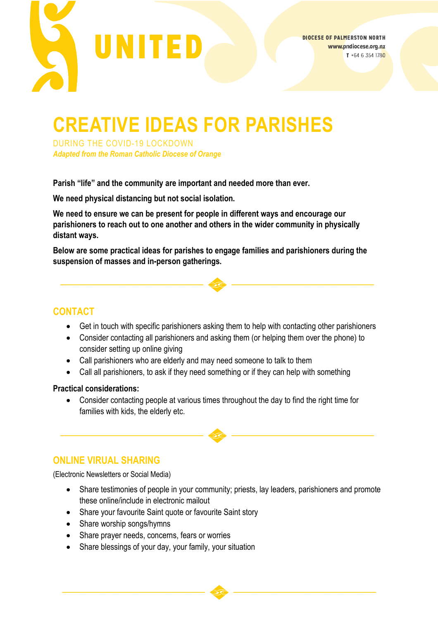

# **CREATIVE IDEAS FOR PARISHES**

DURING THE COVID-19 LOCKDOWN *Adapted from the Roman Catholic Diocese of Orange*

**Parish "life" and the community are important and needed more than ever.**

**We need physical distancing but not social isolation.**

**We need to ensure we can be present for people in different ways and encourage our parishioners to reach out to one another and others in the wider community in physically distant ways.** 

**Below are some practical ideas for parishes to engage families and parishioners during the suspension of masses and in-person gatherings.**

## **CONTACT**

- Get in touch with specific parishioners asking them to help with contacting other parishioners
- Consider contacting all parishioners and asking them (or helping them over the phone) to consider setting up online giving
- Call parishioners who are elderly and may need someone to talk to them
- Call all parishioners, to ask if they need something or if they can help with something

#### **Practical considerations:**

• Consider contacting people at various times throughout the day to find the right time for families with kids, the elderly etc.

### **ONLINE VIRUAL SHARING**

(Electronic Newsletters or Social Media)

- Share testimonies of people in your community; priests, lay leaders, parishioners and promote these online/include in electronic mailout
- Share your favourite Saint quote or favourite Saint story
- Share worship songs/hymns
- Share prayer needs, concerns, fears or worries
- Share blessings of your day, your family, your situation